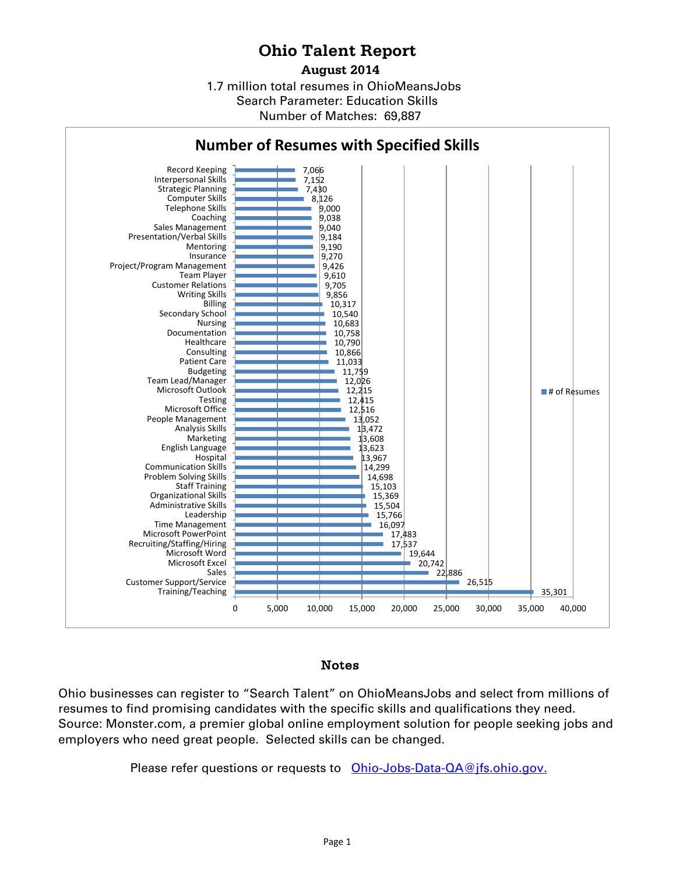## **Ohio Talent Report**

1.7 million total resumes in OhioMeansJobs Number of Matches: 69,887 **August 2014** Search Parameter: Education Skills



## Notes

Ohio businesses can register to "Search Talent" on OhioMeansJobs and select from millions of resumes to find promising candidates with the specific skills and qualifications they need. Source: Monster.com, a premier global online employment solution for people seeking jobs and employers who need great people. Selected skills can be changed.

Please refer questions or requests to [Ohio-Jobs-Data-QA@jfs.ohio.gov.](mailto:Ohio-Jobs-Data-QA@jfs.ohio.gov)